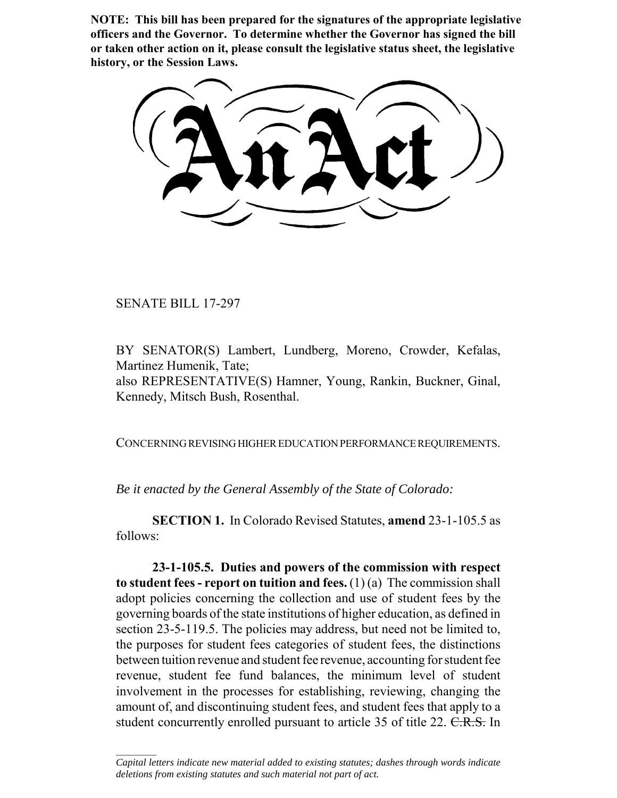**NOTE: This bill has been prepared for the signatures of the appropriate legislative officers and the Governor. To determine whether the Governor has signed the bill or taken other action on it, please consult the legislative status sheet, the legislative history, or the Session Laws.**

SENATE BILL 17-297

 $\frac{1}{2}$ 

BY SENATOR(S) Lambert, Lundberg, Moreno, Crowder, Kefalas, Martinez Humenik, Tate; also REPRESENTATIVE(S) Hamner, Young, Rankin, Buckner, Ginal,

Kennedy, Mitsch Bush, Rosenthal.

CONCERNING REVISING HIGHER EDUCATION PERFORMANCE REQUIREMENTS.

*Be it enacted by the General Assembly of the State of Colorado:*

**SECTION 1.** In Colorado Revised Statutes, **amend** 23-1-105.5 as follows:

**23-1-105.5. Duties and powers of the commission with respect to student fees - report on tuition and fees.** (1) (a) The commission shall adopt policies concerning the collection and use of student fees by the governing boards of the state institutions of higher education, as defined in section 23-5-119.5. The policies may address, but need not be limited to, the purposes for student fees categories of student fees, the distinctions between tuition revenue and student fee revenue, accounting for student fee revenue, student fee fund balances, the minimum level of student involvement in the processes for establishing, reviewing, changing the amount of, and discontinuing student fees, and student fees that apply to a student concurrently enrolled pursuant to article 35 of title 22. C.R.S. In

*Capital letters indicate new material added to existing statutes; dashes through words indicate deletions from existing statutes and such material not part of act.*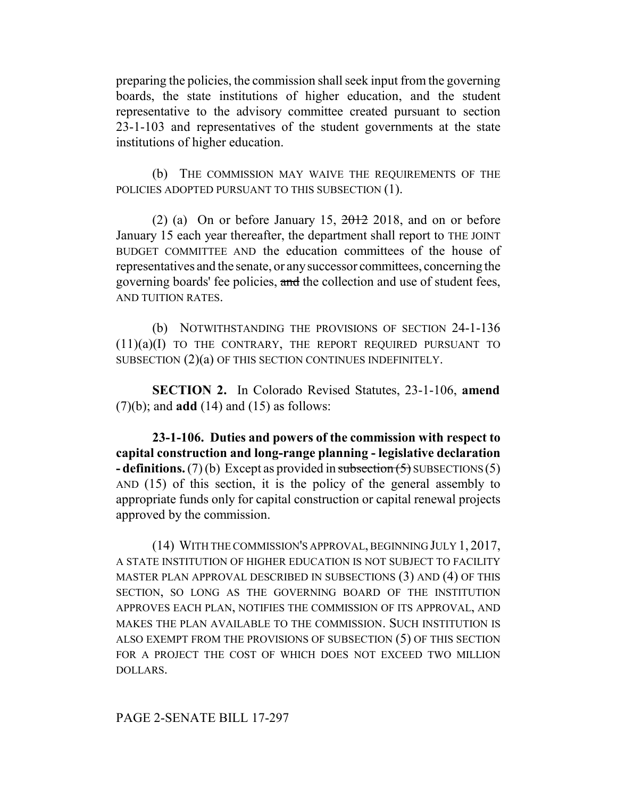preparing the policies, the commission shall seek input from the governing boards, the state institutions of higher education, and the student representative to the advisory committee created pursuant to section 23-1-103 and representatives of the student governments at the state institutions of higher education.

(b) THE COMMISSION MAY WAIVE THE REQUIREMENTS OF THE POLICIES ADOPTED PURSUANT TO THIS SUBSECTION (1).

(2) (a) On or before January 15,  $2012$  2018, and on or before January 15 each year thereafter, the department shall report to THE JOINT BUDGET COMMITTEE AND the education committees of the house of representatives and the senate, or any successor committees, concerning the governing boards' fee policies, and the collection and use of student fees, AND TUITION RATES.

(b) NOTWITHSTANDING THE PROVISIONS OF SECTION 24-1-136 (11)(a)(I) TO THE CONTRARY, THE REPORT REQUIRED PURSUANT TO SUBSECTION (2)(a) OF THIS SECTION CONTINUES INDEFINITELY.

**SECTION 2.** In Colorado Revised Statutes, 23-1-106, **amend** (7)(b); and **add** (14) and (15) as follows:

**23-1-106. Duties and powers of the commission with respect to capital construction and long-range planning - legislative declaration - definitions.** (7) (b) Except as provided in subsection (5) SUBSECTIONS (5) AND (15) of this section, it is the policy of the general assembly to appropriate funds only for capital construction or capital renewal projects approved by the commission.

(14) WITH THE COMMISSION'S APPROVAL, BEGINNING JULY 1, 2017, A STATE INSTITUTION OF HIGHER EDUCATION IS NOT SUBJECT TO FACILITY MASTER PLAN APPROVAL DESCRIBED IN SUBSECTIONS (3) AND (4) OF THIS SECTION, SO LONG AS THE GOVERNING BOARD OF THE INSTITUTION APPROVES EACH PLAN, NOTIFIES THE COMMISSION OF ITS APPROVAL, AND MAKES THE PLAN AVAILABLE TO THE COMMISSION. SUCH INSTITUTION IS ALSO EXEMPT FROM THE PROVISIONS OF SUBSECTION (5) OF THIS SECTION FOR A PROJECT THE COST OF WHICH DOES NOT EXCEED TWO MILLION DOLLARS.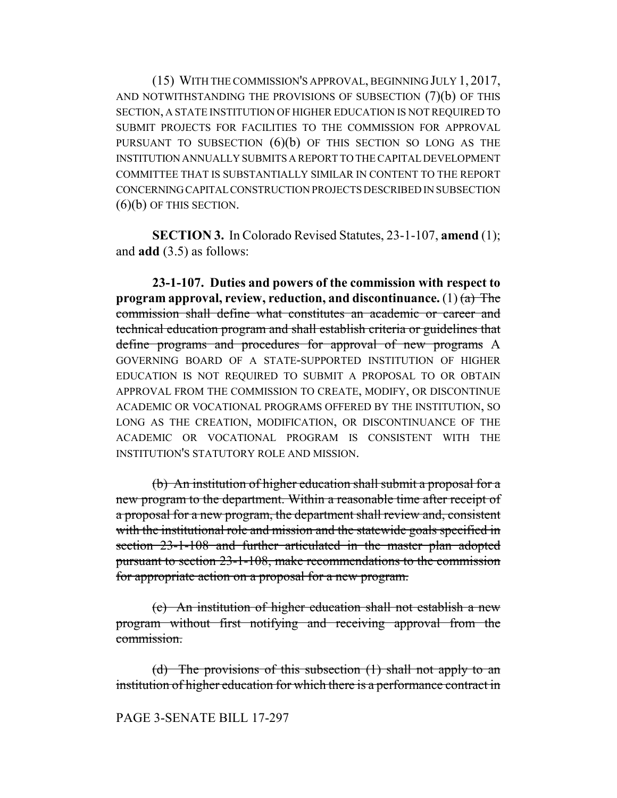(15) WITH THE COMMISSION'S APPROVAL, BEGINNING JULY 1, 2017, AND NOTWITHSTANDING THE PROVISIONS OF SUBSECTION (7)(b) OF THIS SECTION, A STATE INSTITUTION OF HIGHER EDUCATION IS NOT REQUIRED TO SUBMIT PROJECTS FOR FACILITIES TO THE COMMISSION FOR APPROVAL PURSUANT TO SUBSECTION  $(6)(b)$  OF THIS SECTION SO LONG AS THE INSTITUTION ANNUALLY SUBMITS A REPORT TO THE CAPITAL DEVELOPMENT COMMITTEE THAT IS SUBSTANTIALLY SIMILAR IN CONTENT TO THE REPORT CONCERNING CAPITAL CONSTRUCTION PROJECTS DESCRIBED IN SUBSECTION (6)(b) OF THIS SECTION.

**SECTION 3.** In Colorado Revised Statutes, 23-1-107, **amend** (1); and **add** (3.5) as follows:

**23-1-107. Duties and powers of the commission with respect to program approval, review, reduction, and discontinuance.** (1)  $(a)$  The commission shall define what constitutes an academic or career and technical education program and shall establish criteria or guidelines that define programs and procedures for approval of new programs A GOVERNING BOARD OF A STATE-SUPPORTED INSTITUTION OF HIGHER EDUCATION IS NOT REQUIRED TO SUBMIT A PROPOSAL TO OR OBTAIN APPROVAL FROM THE COMMISSION TO CREATE, MODIFY, OR DISCONTINUE ACADEMIC OR VOCATIONAL PROGRAMS OFFERED BY THE INSTITUTION, SO LONG AS THE CREATION, MODIFICATION, OR DISCONTINUANCE OF THE ACADEMIC OR VOCATIONAL PROGRAM IS CONSISTENT WITH THE INSTITUTION'S STATUTORY ROLE AND MISSION.

(b) An institution of higher education shall submit a proposal for a new program to the department. Within a reasonable time after receipt of a proposal for a new program, the department shall review and, consistent with the institutional role and mission and the statewide goals specified in section 23-1-108 and further articulated in the master plan adopted pursuant to section 23-1-108, make recommendations to the commission for appropriate action on a proposal for a new program.

(c) An institution of higher education shall not establish a new program without first notifying and receiving approval from the commission.

(d) The provisions of this subsection  $(1)$  shall not apply to an institution of higher education for which there is a performance contract in

PAGE 3-SENATE BILL 17-297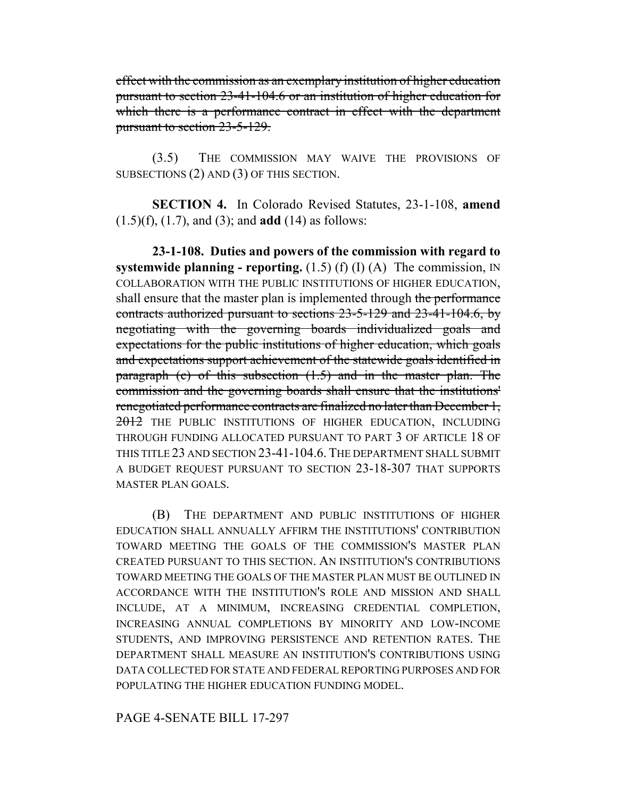effect with the commission as an exemplary institution of higher education pursuant to section 23-41-104.6 or an institution of higher education for which there is a performance contract in effect with the department pursuant to section 23-5-129.

(3.5) THE COMMISSION MAY WAIVE THE PROVISIONS OF SUBSECTIONS (2) AND (3) OF THIS SECTION.

**SECTION 4.** In Colorado Revised Statutes, 23-1-108, **amend** (1.5)(f), (1.7), and (3); and **add** (14) as follows:

**23-1-108. Duties and powers of the commission with regard to systemwide planning - reporting.**  $(1.5)$  (f)  $(I)$  (A) The commission, IN COLLABORATION WITH THE PUBLIC INSTITUTIONS OF HIGHER EDUCATION, shall ensure that the master plan is implemented through the performance contracts authorized pursuant to sections 23-5-129 and 23-41-104.6, by negotiating with the governing boards individualized goals and expectations for the public institutions of higher education, which goals and expectations support achievement of the statewide goals identified in paragraph (c) of this subsection (1.5) and in the master plan. The commission and the governing boards shall ensure that the institutions' renegotiated performance contracts are finalized no later than December 1, 2012 THE PUBLIC INSTITUTIONS OF HIGHER EDUCATION, INCLUDING THROUGH FUNDING ALLOCATED PURSUANT TO PART 3 OF ARTICLE 18 OF THIS TITLE 23 AND SECTION 23-41-104.6. THE DEPARTMENT SHALL SUBMIT A BUDGET REQUEST PURSUANT TO SECTION 23-18-307 THAT SUPPORTS MASTER PLAN GOALS.

(B) THE DEPARTMENT AND PUBLIC INSTITUTIONS OF HIGHER EDUCATION SHALL ANNUALLY AFFIRM THE INSTITUTIONS' CONTRIBUTION TOWARD MEETING THE GOALS OF THE COMMISSION'S MASTER PLAN CREATED PURSUANT TO THIS SECTION. AN INSTITUTION'S CONTRIBUTIONS TOWARD MEETING THE GOALS OF THE MASTER PLAN MUST BE OUTLINED IN ACCORDANCE WITH THE INSTITUTION'S ROLE AND MISSION AND SHALL INCLUDE, AT A MINIMUM, INCREASING CREDENTIAL COMPLETION, INCREASING ANNUAL COMPLETIONS BY MINORITY AND LOW-INCOME STUDENTS, AND IMPROVING PERSISTENCE AND RETENTION RATES. THE DEPARTMENT SHALL MEASURE AN INSTITUTION'S CONTRIBUTIONS USING DATA COLLECTED FOR STATE AND FEDERAL REPORTING PURPOSES AND FOR POPULATING THE HIGHER EDUCATION FUNDING MODEL.

## PAGE 4-SENATE BILL 17-297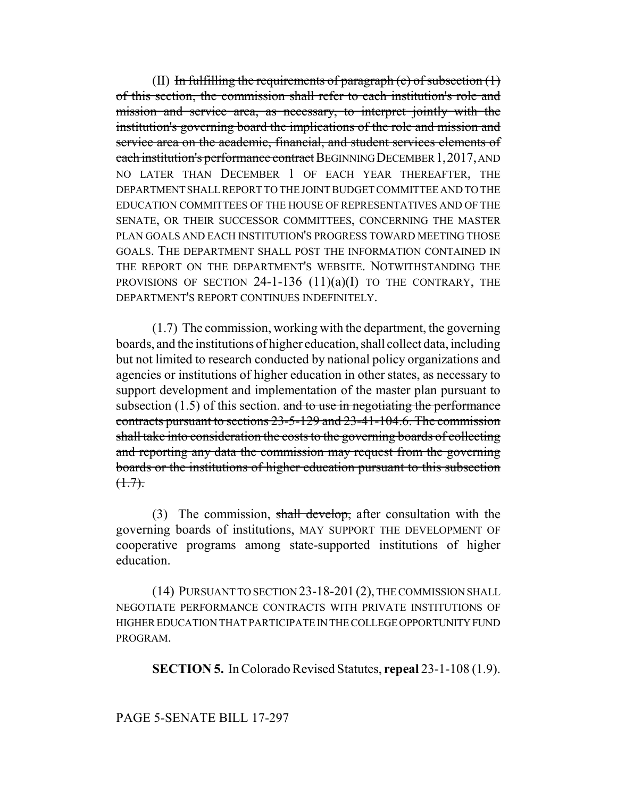(II) In fulfilling the requirements of paragraph  $(c)$  of subsection  $(1)$ of this section, the commission shall refer to each institution's role and mission and service area, as necessary, to interpret jointly with the institution's governing board the implications of the role and mission and service area on the academic, financial, and student services elements of each institution's performance contract BEGINNING DECEMBER 1,2017, AND NO LATER THAN DECEMBER 1 OF EACH YEAR THEREAFTER, THE DEPARTMENT SHALL REPORT TO THE JOINT BUDGET COMMITTEE AND TO THE EDUCATION COMMITTEES OF THE HOUSE OF REPRESENTATIVES AND OF THE SENATE, OR THEIR SUCCESSOR COMMITTEES, CONCERNING THE MASTER PLAN GOALS AND EACH INSTITUTION'S PROGRESS TOWARD MEETING THOSE GOALS. THE DEPARTMENT SHALL POST THE INFORMATION CONTAINED IN THE REPORT ON THE DEPARTMENT'S WEBSITE. NOTWITHSTANDING THE PROVISIONS OF SECTION  $24$ -1-136 (11)(a)(I) TO THE CONTRARY, THE DEPARTMENT'S REPORT CONTINUES INDEFINITELY.

(1.7) The commission, working with the department, the governing boards, and the institutions of higher education, shall collect data, including but not limited to research conducted by national policy organizations and agencies or institutions of higher education in other states, as necessary to support development and implementation of the master plan pursuant to subsection  $(1.5)$  of this section. and to use in negotiating the performance contracts pursuant to sections 23-5-129 and 23-41-104.6. The commission shall take into consideration the costs to the governing boards of collecting and reporting any data the commission may request from the governing boards or the institutions of higher education pursuant to this subsection  $(1.7)$ .

(3) The commission, shall develop, after consultation with the governing boards of institutions, MAY SUPPORT THE DEVELOPMENT OF cooperative programs among state-supported institutions of higher education.

(14) PURSUANT TO SECTION 23-18-201 (2), THE COMMISSION SHALL NEGOTIATE PERFORMANCE CONTRACTS WITH PRIVATE INSTITUTIONS OF HIGHER EDUCATION THAT PARTICIPATE IN THE COLLEGE OPPORTUNITY FUND PROGRAM.

**SECTION 5.** In Colorado Revised Statutes, **repeal** 23-1-108 (1.9).

## PAGE 5-SENATE BILL 17-297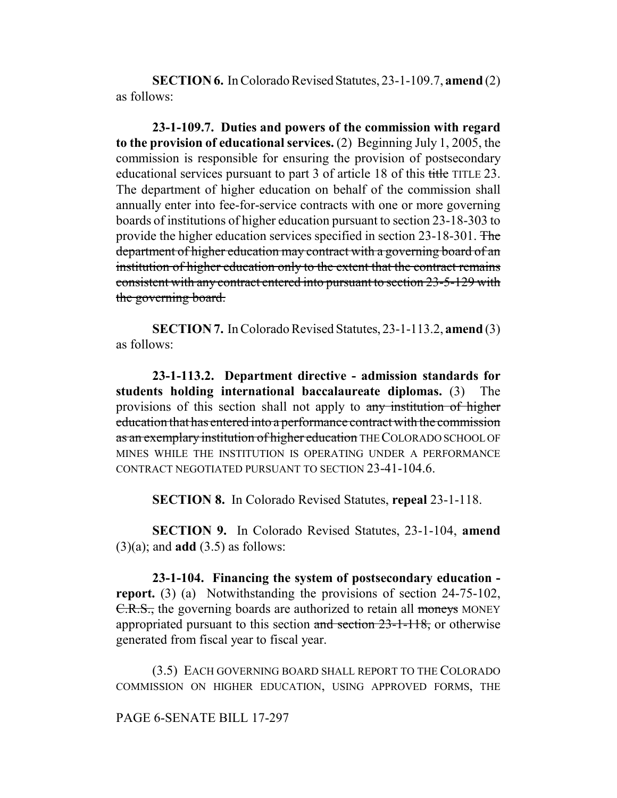**SECTION 6.** In Colorado Revised Statutes, 23-1-109.7, **amend** (2) as follows:

**23-1-109.7. Duties and powers of the commission with regard to the provision of educational services.** (2) Beginning July 1, 2005, the commission is responsible for ensuring the provision of postsecondary educational services pursuant to part 3 of article 18 of this title TITLE 23. The department of higher education on behalf of the commission shall annually enter into fee-for-service contracts with one or more governing boards of institutions of higher education pursuant to section 23-18-303 to provide the higher education services specified in section 23-18-301. The department of higher education may contract with a governing board of an institution of higher education only to the extent that the contract remains consistent with any contract entered into pursuant to section 23-5-129 with the governing board.

**SECTION 7.** In Colorado Revised Statutes, 23-1-113.2, **amend** (3) as follows:

**23-1-113.2. Department directive - admission standards for students holding international baccalaureate diplomas.** (3) The provisions of this section shall not apply to any institution of higher education that has entered into a performance contract with the commission as an exemplary institution of higher education THE COLORADO SCHOOL OF MINES WHILE THE INSTITUTION IS OPERATING UNDER A PERFORMANCE CONTRACT NEGOTIATED PURSUANT TO SECTION 23-41-104.6.

**SECTION 8.** In Colorado Revised Statutes, **repeal** 23-1-118.

**SECTION 9.** In Colorado Revised Statutes, 23-1-104, **amend** (3)(a); and **add** (3.5) as follows:

**23-1-104. Financing the system of postsecondary education report.** (3) (a) Notwithstanding the provisions of section 24-75-102, C.R.S., the governing boards are authorized to retain all moneys MONEY appropriated pursuant to this section and section 23-1-118, or otherwise generated from fiscal year to fiscal year.

(3.5) EACH GOVERNING BOARD SHALL REPORT TO THE COLORADO COMMISSION ON HIGHER EDUCATION, USING APPROVED FORMS, THE

PAGE 6-SENATE BILL 17-297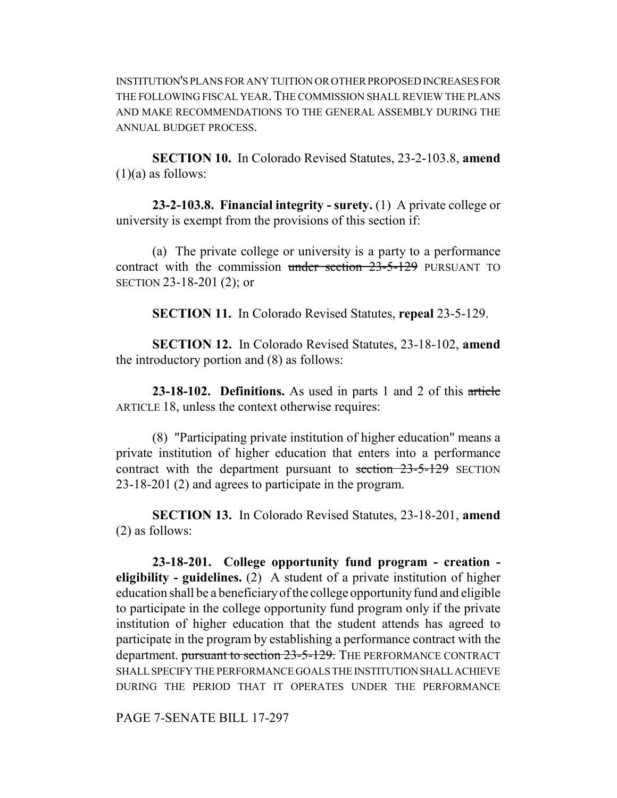INSTITUTION'S PLANS FOR ANY TUITION OR OTHER PROPOSED INCREASES FOR THE FOLLOWING FISCAL YEAR.THE COMMISSION SHALL REVIEW THE PLANS AND MAKE RECOMMENDATIONS TO THE GENERAL ASSEMBLY DURING THE ANNUAL BUDGET PROCESS.

**SECTION 10.** In Colorado Revised Statutes, 23-2-103.8, **amend**  $(1)(a)$  as follows:

**23-2-103.8. Financial integrity - surety.** (1) A private college or university is exempt from the provisions of this section if:

(a) The private college or university is a party to a performance contract with the commission under section 23-5-129 PURSUANT TO SECTION 23-18-201 (2); or

**SECTION 11.** In Colorado Revised Statutes, **repeal** 23-5-129.

**SECTION 12.** In Colorado Revised Statutes, 23-18-102, **amend** the introductory portion and (8) as follows:

**23-18-102. Definitions.** As used in parts 1 and 2 of this article ARTICLE 18, unless the context otherwise requires:

(8) "Participating private institution of higher education" means a private institution of higher education that enters into a performance contract with the department pursuant to section 23-5-129 SECTION 23-18-201 (2) and agrees to participate in the program.

**SECTION 13.** In Colorado Revised Statutes, 23-18-201, **amend** (2) as follows:

**23-18-201. College opportunity fund program - creation eligibility - guidelines.** (2) A student of a private institution of higher education shall be a beneficiary of the college opportunity fund and eligible to participate in the college opportunity fund program only if the private institution of higher education that the student attends has agreed to participate in the program by establishing a performance contract with the department. pursuant to section 23-5-129. THE PERFORMANCE CONTRACT SHALL SPECIFY THE PERFORMANCE GOALS THE INSTITUTION SHALL ACHIEVE DURING THE PERIOD THAT IT OPERATES UNDER THE PERFORMANCE

PAGE 7-SENATE BILL 17-297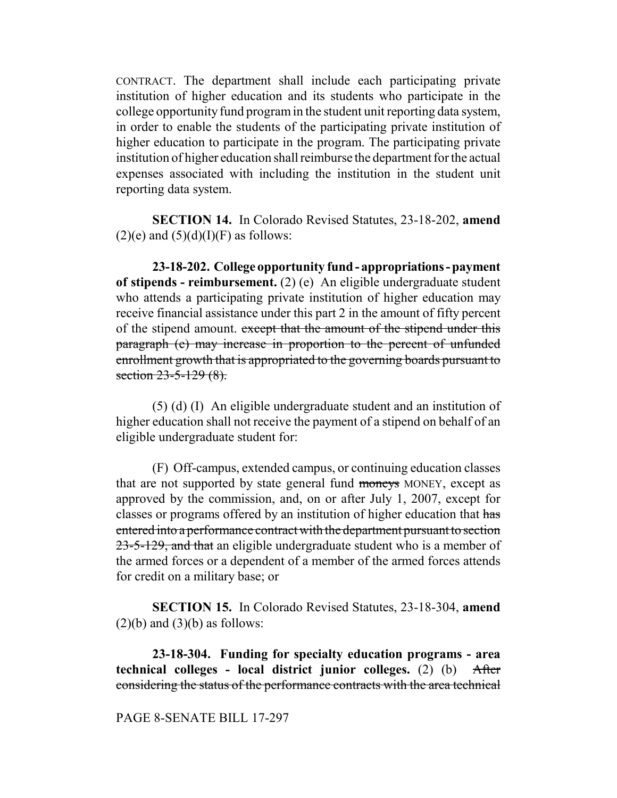CONTRACT. The department shall include each participating private institution of higher education and its students who participate in the college opportunity fund program in the student unit reporting data system, in order to enable the students of the participating private institution of higher education to participate in the program. The participating private institution of higher education shall reimburse the department for the actual expenses associated with including the institution in the student unit reporting data system.

**SECTION 14.** In Colorado Revised Statutes, 23-18-202, **amend**  $(2)(e)$  and  $(5)(d)(I)(F)$  as follows:

**23-18-202. College opportunity fund - appropriations - payment of stipends - reimbursement.** (2) (e) An eligible undergraduate student who attends a participating private institution of higher education may receive financial assistance under this part 2 in the amount of fifty percent of the stipend amount. except that the amount of the stipend under this paragraph (e) may increase in proportion to the percent of unfunded enrollment growth that is appropriated to the governing boards pursuant to section 23-5-129 (8).

(5) (d) (I) An eligible undergraduate student and an institution of higher education shall not receive the payment of a stipend on behalf of an eligible undergraduate student for:

(F) Off-campus, extended campus, or continuing education classes that are not supported by state general fund moneys MONEY, except as approved by the commission, and, on or after July 1, 2007, except for classes or programs offered by an institution of higher education that has entered into a performance contract with the department pursuant to section 23-5-129, and that an eligible undergraduate student who is a member of the armed forces or a dependent of a member of the armed forces attends for credit on a military base; or

**SECTION 15.** In Colorado Revised Statutes, 23-18-304, **amend**  $(2)(b)$  and  $(3)(b)$  as follows:

**23-18-304. Funding for specialty education programs - area technical colleges - local district junior colleges.** (2) (b) After considering the status of the performance contracts with the area technical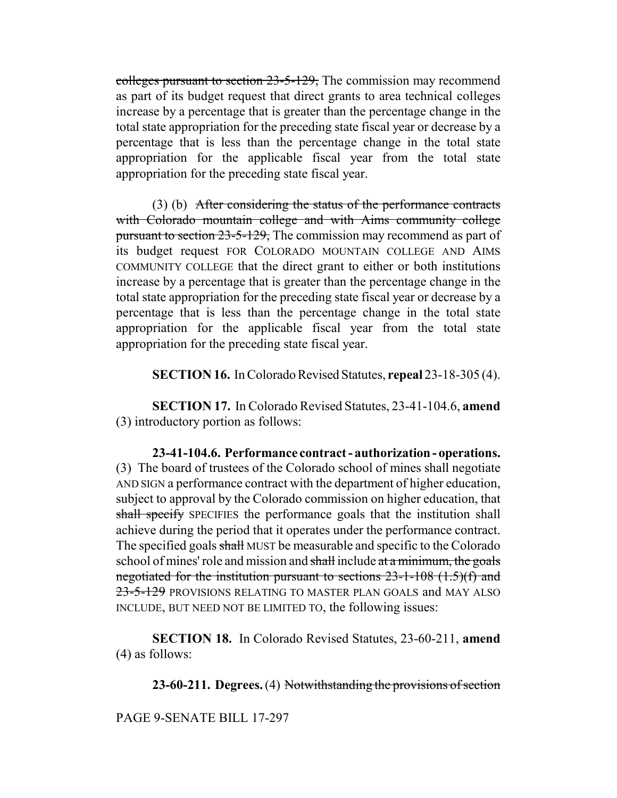colleges pursuant to section 23-5-129, The commission may recommend as part of its budget request that direct grants to area technical colleges increase by a percentage that is greater than the percentage change in the total state appropriation for the preceding state fiscal year or decrease by a percentage that is less than the percentage change in the total state appropriation for the applicable fiscal year from the total state appropriation for the preceding state fiscal year.

(3) (b) After considering the status of the performance contracts with Colorado mountain college and with Aims community college pursuant to section 23-5-129, The commission may recommend as part of its budget request FOR COLORADO MOUNTAIN COLLEGE AND AIMS COMMUNITY COLLEGE that the direct grant to either or both institutions increase by a percentage that is greater than the percentage change in the total state appropriation for the preceding state fiscal year or decrease by a percentage that is less than the percentage change in the total state appropriation for the applicable fiscal year from the total state appropriation for the preceding state fiscal year.

**SECTION 16.** In Colorado Revised Statutes, **repeal** 23-18-305 (4).

**SECTION 17.** In Colorado Revised Statutes, 23-41-104.6, **amend** (3) introductory portion as follows:

**23-41-104.6. Performance contract - authorization - operations.** (3) The board of trustees of the Colorado school of mines shall negotiate AND SIGN a performance contract with the department of higher education, subject to approval by the Colorado commission on higher education, that shall specify SPECIFIES the performance goals that the institution shall achieve during the period that it operates under the performance contract. The specified goals shall MUST be measurable and specific to the Colorado school of mines' role and mission and shall include at a minimum, the goals negotiated for the institution pursuant to sections  $23$ -1-108 (1.5)(f) and 23-5-129 PROVISIONS RELATING TO MASTER PLAN GOALS and MAY ALSO INCLUDE, BUT NEED NOT BE LIMITED TO, the following issues:

**SECTION 18.** In Colorado Revised Statutes, 23-60-211, **amend** (4) as follows:

**23-60-211. Degrees.** (4) Notwithstanding the provisions of section

PAGE 9-SENATE BILL 17-297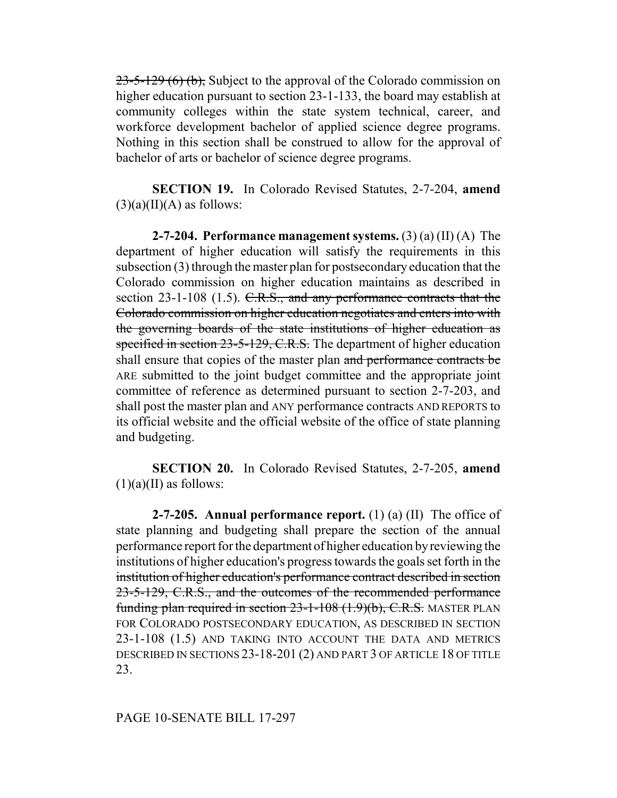$23-5-129$  (6) (b), Subject to the approval of the Colorado commission on higher education pursuant to section 23-1-133, the board may establish at community colleges within the state system technical, career, and workforce development bachelor of applied science degree programs. Nothing in this section shall be construed to allow for the approval of bachelor of arts or bachelor of science degree programs.

**SECTION 19.** In Colorado Revised Statutes, 2-7-204, **amend**  $(3)(a)(II)(A)$  as follows:

**2-7-204. Performance management systems.** (3) (a) (II) (A) The department of higher education will satisfy the requirements in this subsection (3) through the master plan for postsecondary education that the Colorado commission on higher education maintains as described in section 23-1-108 (1.5). C.R.S., and any performance contracts that the Colorado commission on higher education negotiates and enters into with the governing boards of the state institutions of higher education as specified in section 23-5-129, C.R.S. The department of higher education shall ensure that copies of the master plan and performance contracts be ARE submitted to the joint budget committee and the appropriate joint committee of reference as determined pursuant to section 2-7-203, and shall post the master plan and ANY performance contracts AND REPORTS to its official website and the official website of the office of state planning and budgeting.

**SECTION 20.** In Colorado Revised Statutes, 2-7-205, **amend**  $(1)(a)(II)$  as follows:

**2-7-205. Annual performance report.** (1) (a) (II) The office of state planning and budgeting shall prepare the section of the annual performance report for the department of higher education by reviewing the institutions of higher education's progress towards the goals set forth in the institution of higher education's performance contract described in section 23-5-129, C.R.S., and the outcomes of the recommended performance funding plan required in section 23-1-108 (1.9)(b), C.R.S. MASTER PLAN FOR COLORADO POSTSECONDARY EDUCATION, AS DESCRIBED IN SECTION 23-1-108 (1.5) AND TAKING INTO ACCOUNT THE DATA AND METRICS DESCRIBED IN SECTIONS 23-18-201 (2) AND PART 3 OF ARTICLE 18 OF TITLE 23.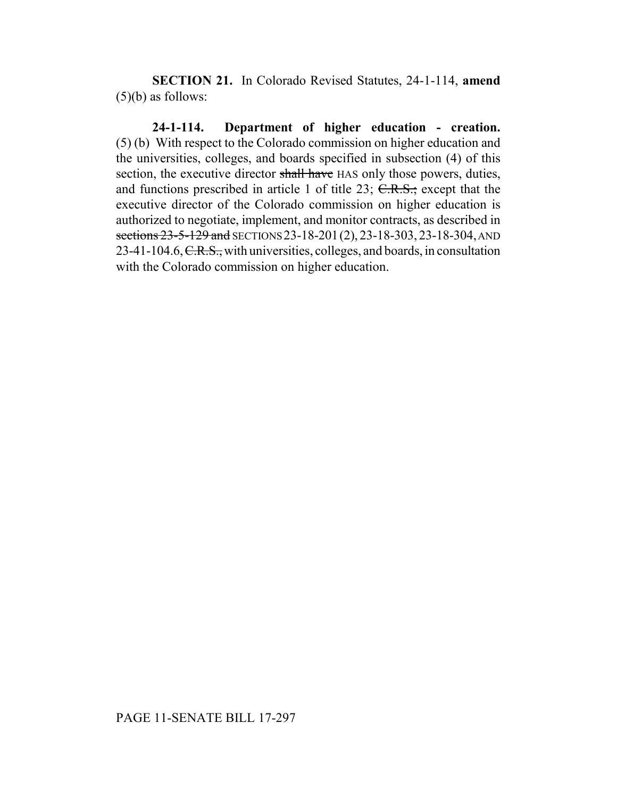**SECTION 21.** In Colorado Revised Statutes, 24-1-114, **amend**  $(5)(b)$  as follows:

**24-1-114. Department of higher education - creation.** (5) (b) With respect to the Colorado commission on higher education and the universities, colleges, and boards specified in subsection (4) of this section, the executive director shall have HAS only those powers, duties, and functions prescribed in article 1 of title  $23$ ; C.R.S.; except that the executive director of the Colorado commission on higher education is authorized to negotiate, implement, and monitor contracts, as described in sections 23-5-129 and SECTIONS 23-18-201(2), 23-18-303, 23-18-304, AND 23-41-104.6, C.R.S., with universities, colleges, and boards, in consultation with the Colorado commission on higher education.